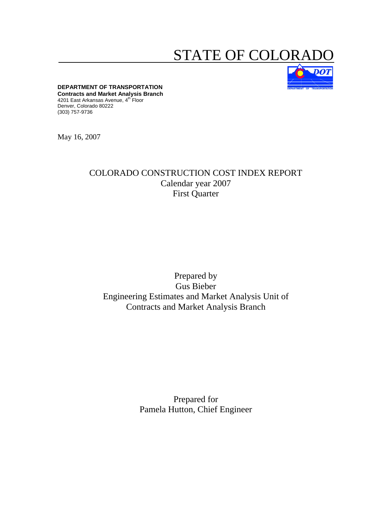# STATE OF COLORA



**DEPARTMENT OF TRANSPORTATION Contracts and Market Analysis Branch**  4201 East Arkansas Avenue, 4<sup>th</sup> Floor Denver, Colorado 80222 (303) 757-9736

May 16, 2007

# COLORADO CONSTRUCTION COST INDEX REPORT Calendar year 2007 First Quarter

# Prepared by Gus Bieber Engineering Estimates and Market Analysis Unit of Contracts and Market Analysis Branch

Prepared for Pamela Hutton, Chief Engineer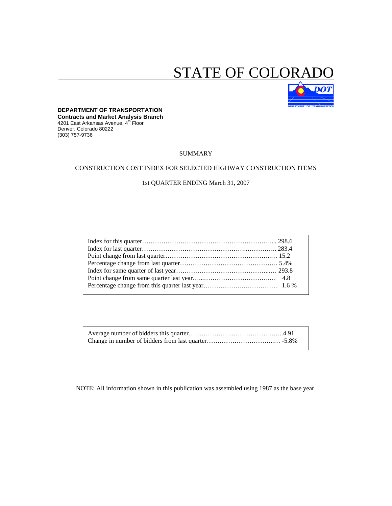# STATE OF COLORA



#### **DEPARTMENT OF TRANSPORTATION Contracts and Market Analysis Branch**  4201 East Arkansas Avenue, 4th Floor

Denver, Colorado 80222 (303) 757-9736

#### SUMMARY

## CONSTRUCTION COST INDEX FOR SELECTED HIGHWAY CONSTRUCTION ITEMS

# 1st QUARTER ENDING March 31, 2007

NOTE: All information shown in this publication was assembled using 1987 as the base year.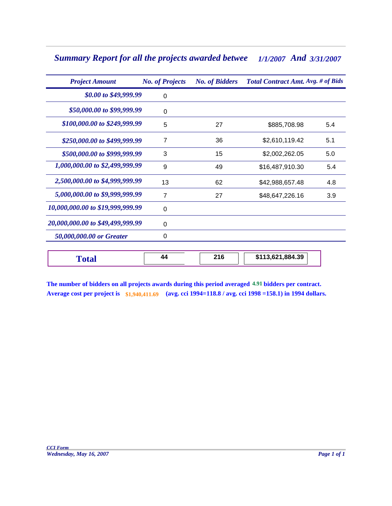# *Summary Report for all the projects awarded betwee 1/1/2007 3/31/2007 And*

| <b>Project Amount</b>            | <b>No. of Projects</b> | <b>No. of Bidders</b> | <b>Total Contract Amt. Avg. # of Bids</b> |     |  |  |
|----------------------------------|------------------------|-----------------------|-------------------------------------------|-----|--|--|
| \$0.00 to \$49,999.99            | 0                      |                       |                                           |     |  |  |
| \$50,000.00 to \$99,999.99       | 0                      |                       |                                           |     |  |  |
| \$100,000.00 to \$249,999.99     | 5                      | 27                    | \$885,708.98                              | 5.4 |  |  |
| \$250,000.00 to \$499,999.99     | 7                      | 36                    | \$2,610,119.42                            | 5.1 |  |  |
| \$500,000.00 to \$999,999.99     | 3                      | 15                    | \$2,002,262.05                            | 5.0 |  |  |
| 1,000,000.00 to \$2,499,999.99   | 9                      | 49                    | \$16,487,910.30                           | 5.4 |  |  |
| 2,500,000.00 to \$4,999,999.99   | 13                     | 62                    | \$42,988,657.48                           | 4.8 |  |  |
| 5,000,000.00 to \$9,999,999.99   | 7                      | 27                    | \$48,647,226.16                           | 3.9 |  |  |
| 10,000,000.00 to \$19,999,999.99 | 0                      |                       |                                           |     |  |  |
| 20,000,000.00 to \$49,499,999.99 | 0                      |                       |                                           |     |  |  |
| 50,000,000.00 or Greater         | 0                      |                       |                                           |     |  |  |
| Total                            | 44                     | 216                   | \$113,621,884.39                          |     |  |  |

**The number of bidders on all projects awards during this period averaged 4.91 bidders per contract. Average cost per project is \$1,940,411.69 (avg. cci 1994=118.8 / avg. cci 1998 =158.1) in 1994 dollars.**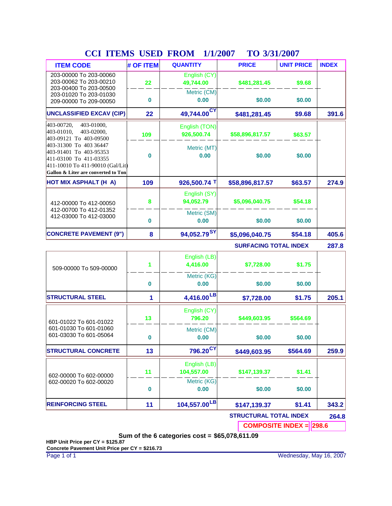| <b>ITEM CODE</b>                                                                                                                                      | # OF ITEM | <b>QUANTITY</b>              | <b>PRICE</b>                  | <b>UNIT PRICE</b> | <b>INDEX</b> |  |  |  |  |  |
|-------------------------------------------------------------------------------------------------------------------------------------------------------|-----------|------------------------------|-------------------------------|-------------------|--------------|--|--|--|--|--|
| 203-00000 To 203-00060<br>203-00062 To 203-00210<br>203-00400 To 203-00500                                                                            | 22        | English (CY)<br>49,744.00    | \$481,281.45                  | \$9.68            |              |  |  |  |  |  |
| 203-01020 To 203-01030<br>209-00000 To 209-00050                                                                                                      | $\bf{0}$  | Metric (CM)<br>0.00          | \$0.00                        | \$0.00            |              |  |  |  |  |  |
| <b>UNCLASSIFIED EXCAV (CIP)</b>                                                                                                                       | 22        | 49,744.00 <sup>CY</sup>      | \$481,281.45                  | \$9.68            | 391.6        |  |  |  |  |  |
| 403-01000,<br>403-00720,<br>403-01010,<br>403-02000,<br>403-09121 To 403-09500                                                                        | 109       | English (TON)<br>926,500.74  | \$58,896,817.57               | \$63.57           |              |  |  |  |  |  |
| 403-31300 To 403 36447<br>403-91401 To 403-95353<br>411-03100 To 411-03355<br>411-10010 To 411-90010 (Gal/Lit)<br>Gallon & Liter are converted to Ton | $\bf{0}$  | Metric (MT)<br>0.00          | \$0.00                        | \$0.00            |              |  |  |  |  |  |
| <b>HOT MIX ASPHALT (H A)</b>                                                                                                                          | 109       | 926,500.74 T                 | \$58,896,817.57               | \$63.57           | 274.9        |  |  |  |  |  |
| 412-00000 To 412-00050                                                                                                                                | 8         | English (SY)<br>94,052.79    | \$5,096,040.75                | \$54.18           |              |  |  |  |  |  |
| 412-00700 To 412-01352<br>412-03000 To 412-03000                                                                                                      | $\bf{0}$  | Metric (SM)<br>0.00          | \$0.00                        | \$0.00            |              |  |  |  |  |  |
| <b>CONCRETE PAVEMENT (9")</b>                                                                                                                         | 8         | 94,052.79 <sup>SY</sup>      | \$54.18                       | 405.6             |              |  |  |  |  |  |
|                                                                                                                                                       |           | <b>SURFACING TOTAL INDEX</b> |                               |                   |              |  |  |  |  |  |
| 509-00000 To 509-00000                                                                                                                                | 1         | English (LB)<br>4,416.00     | \$7,728.00                    | \$1.75            |              |  |  |  |  |  |
|                                                                                                                                                       | $\bf{0}$  | Metric (KG)<br>0.00          | \$0.00                        | \$0.00            |              |  |  |  |  |  |
| <b>STRUCTURAL STEEL</b>                                                                                                                               | 1         | 4,416.00LB                   | \$7,728.00                    | \$1.75            | 205.1        |  |  |  |  |  |
| 601-01022 To 601-01022                                                                                                                                | 13        | English (CY)<br>796.20       | \$449,603.95                  | \$564.69          |              |  |  |  |  |  |
| 601-01030 To 601-01060<br>601-03030 To 601-05064                                                                                                      | $\bf{0}$  | Metric (CM)<br>0.00          | \$0.00                        | \$0.00            |              |  |  |  |  |  |
| <b>STRUCTURAL CONCRETE</b>                                                                                                                            | 13        | 796.20 <sup>CY</sup>         | \$449,603.95                  | \$564.69          | 259.9        |  |  |  |  |  |
| 602-00000 To 602-00000                                                                                                                                | 11        | English (LB)<br>104,557.00   | \$147,139.37                  | \$1.41            |              |  |  |  |  |  |
| 602-00020 To 602-00020                                                                                                                                | $\bf{0}$  | Metric (KG)<br>0.00          | \$0.00                        | \$0.00            |              |  |  |  |  |  |
| <b>REINFORCING STEEL</b>                                                                                                                              | 11        | 104,557.00LB                 | \$147,139.37                  | \$1.41            | 343.2        |  |  |  |  |  |
|                                                                                                                                                       |           |                              | <b>STRUCTURAL TOTAL INDEX</b> |                   | 264.8        |  |  |  |  |  |
| <b>COMPOSITE INDEX = 298.6</b>                                                                                                                        |           |                              |                               |                   |              |  |  |  |  |  |

# **CCI ITEMS USED FROM TO 1/1/2007 3/31/2007**

**Sum of the 6 categories cost = \$65,078,611.09**

**HBP Unit Price per CY = \$125.87 Concrete Pavement Unit Price per CY = \$216.73**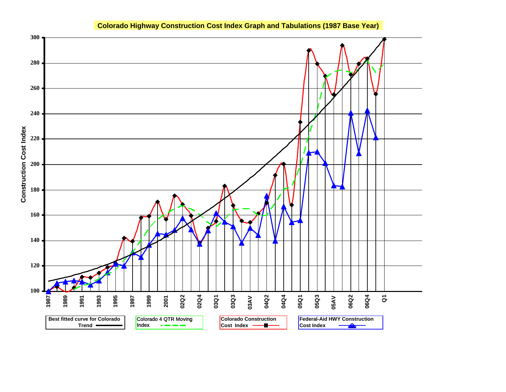

# **Colorado Highway Construction Cost Index Graph and Tabulations (1987 Base Year)**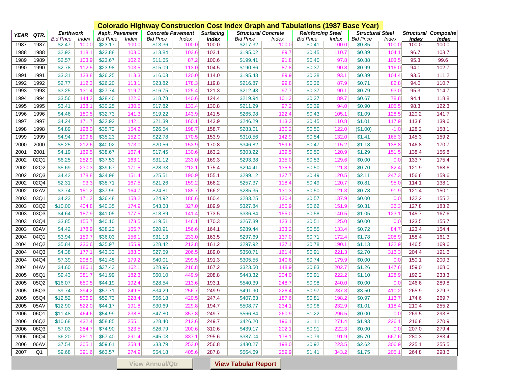|                                                      |      |                  |       | <b>Colorado Highway Construction Cost Index Graph and Tabulations (1987 Base Year)</b> |       |                          |       |                  |                            |       |                          |       |                         |                 |              |                             |
|------------------------------------------------------|------|------------------|-------|----------------------------------------------------------------------------------------|-------|--------------------------|-------|------------------|----------------------------|-------|--------------------------|-------|-------------------------|-----------------|--------------|-----------------------------|
| <b>YEAR</b>                                          | QTR. | <b>Earthwork</b> |       | Asph. Pavement                                                                         |       | <b>Concrete Pavement</b> |       | <b>Surfacing</b> | <b>Structural Concrete</b> |       | <b>Reinforcing Steel</b> |       | <b>Structural Steel</b> |                 |              | <b>Structural Composite</b> |
|                                                      |      | <b>Bid Price</b> | Index | <b>Bid Price</b>                                                                       | Index | <b>Bid Price</b>         | Index | <b>Index</b>     | <b>Bid Price</b>           | Index | <b>Bid Price</b>         | Index | <b>Bid Price</b>        | Index           | <u>Index</u> | <b>Index</b>                |
| 1987                                                 | 1987 | \$2.47           | 100.0 | \$23.17                                                                                | 100.0 | \$13.36                  | 100.C | 100.0            | \$217.32                   | 100.0 | \$0.41                   | 100.0 | \$0.85                  | 100.0           | 100.0        | 100.0                       |
| 1988                                                 | 1988 | \$2.92           | 118.  | \$23.88                                                                                | 103.0 | \$13.84                  | 103.6 | 103.1            | \$195.02                   | 89.7  | \$0.45                   | 110.7 | \$0.89                  | 104.1           | 96.7         | 103.7                       |
| 1989                                                 | 1989 | \$2.57           | 103.  | \$23.67                                                                                | 102.  | \$11.65                  | 87.2  | 100.6            | \$199.41                   | 91.8  | \$0.40                   | 97.8  | \$0.88                  | 103.5           | 95.3         | 99.6                        |
| 1990                                                 | 1990 | \$2.78           | 112.  | \$23.98                                                                                | 103.5 | \$15.09                  | 113.0 | 104.5            | \$190.86                   | 87.8  | \$0.37                   | 90.8  | \$0.99                  | 116.0           | 94.1         | 102.7                       |
| 1991                                                 | 1991 | \$3.31           | 133.  | \$26.25                                                                                | 113.3 | \$16.03                  | 120.0 | 114.0            | \$195.43                   | 89.9  | \$0.38                   | 93.7  | \$0.89                  | 104.4           | 93.5         | 111.2                       |
| 1992                                                 | 1992 | \$2.77           | 112.  | \$26.20                                                                                | 113.7 | \$23.82                  | 178.3 | 119.8            | \$216.87                   | 99.8  | \$0.36                   | 87.9  | \$0.71                  | 82.8            | 94.0         | 110.7                       |
| 1993                                                 | 1993 | \$3.25           | 131.  | \$27.74                                                                                | 119.7 | \$16.75                  | 125.4 | 121.3            | \$212.43                   | 97.7  | \$0.37                   | 90.7  | \$0.79                  | 93.C            | 95.3         | 114.7                       |
| 1994                                                 | 1994 | \$3.56           | 144.  | \$28.40                                                                                | 122.6 | \$18.78                  | 140.6 | 124.4            | \$219.94                   | 101.2 | \$0.37                   | 89.7  | \$0.67                  | 78.8            | 94.4         | 118.8                       |
| 1995                                                 | 1995 | \$3.41           | 138.  | \$30.25                                                                                | 130.5 | \$17.82                  | 133.4 | 130.8            | \$211.29                   | 97.2  | \$0.39                   | 94.0  | \$0.90                  | 105.5           | 98.3         | 122.3                       |
| 1996                                                 | 1996 | \$4.46           | 180.  | \$32.73                                                                                | 141.3 | \$19.22                  | 143.9 | 141.5            | \$265.98                   | 122.4 | \$0.43                   | 105.7 | \$1.09                  | 128.5           | 120.2        | 141.7                       |
| 1997                                                 | 1997 | \$4.24           | 171.7 | \$32.92                                                                                | 142.7 | \$21.39                  | 160.7 | 143.9            | \$246.29                   | 113.3 | \$0.45                   | 110.8 | \$1.01                  | 117.9           | 113.8        | 139.6                       |
| 1998                                                 | 1998 | \$4.89           | 198.  | \$35.72                                                                                | 154.2 | \$26.54                  | 198.7 | 158.7            | \$283.01                   | 130.2 | \$0.50                   | 122.0 | (\$1.00)                | $-1.0$          | 128.2        | 158.1                       |
| 1999                                                 | 1999 | \$4.94           | 199.  | \$35.23                                                                                | 152.0 | \$22.78                  | 170.5 | 153.9            | \$310.56                   | 142.9 | \$0.54                   | 132.0 | \$1.41                  | 165.3           | 145.3        | 159.2                       |
| 2000                                                 | 2000 | \$5.25           | 212.  | \$40.02                                                                                | 173.0 | \$20.56                  | 153.9 | 170.8            | \$346.82                   | 159.6 | \$0.47                   | 115.2 | \$1.18                  | 138.8           | 146.8        | 170.7                       |
| 2001                                                 | 2001 | \$4.19           | 169.  | \$38.67                                                                                | 167.  | \$17.45                  | 130.6 | 163.2            | \$303.22                   | 139.5 | \$0.50                   | 120.9 | \$1.29                  | 151.5           | 138.4        | 156.8                       |
| 2002                                                 | 02Q1 | \$6.25           | 252.  | \$37.53                                                                                | 163.7 | \$31.12                  | 233.0 | 169.3            | \$293.38                   | 135.0 | \$0.53                   | 129.6 | \$0.00                  | 0. <sub>C</sub> | 133.7        | 175.4                       |
| 2002                                                 | 02Q2 | \$5.69           | 230.  | \$39.67                                                                                | 171.5 | \$28.33                  | 212.7 | 175.4            | \$294.41                   | 135.5 | \$0.50                   | 121.3 | \$0.70                  | 82.4            | 121.9        | 168.6                       |
| 2002                                                 | 02Q3 | \$4.42           | 178.  | \$34.98                                                                                | 151.  | \$25.51                  | 190.9 | 155.1            | \$299.12                   | 137.7 | \$0.49                   | 120.5 | \$2.11                  | 247.3           | 156.6        | 159.6                       |
| 2002                                                 | 02Q4 | \$2.31           | 93.   | \$38.71                                                                                | 167.5 | \$21.26                  | 159.2 | 166.2            | \$257.37                   | 118.4 | \$0.49                   | 120.7 | \$0.81                  | 95.0            | 114.1        | 138.1                       |
| 2002                                                 | 02AV | \$3.74           | 151.  | \$37.99                                                                                | 164.7 | \$24.81                  | 185.7 | 166.2            | \$285.35                   | 131.3 | \$0.50                   | 121.3 | \$0.78                  | 91.9            | 121.4        | 150.1                       |
| 2003                                                 | 03Q1 | \$4.23           | 171.  | \$36.48                                                                                | 158.2 | \$24.92                  | 186.6 | 160.4            | \$283.25                   | 130.4 | \$0.57                   | 137.9 | \$0.00                  | 0. <sub>C</sub> | 132.2        | 155.2                       |
| 2003                                                 | 03Q2 | \$10.00          | 404.8 | \$40.35                                                                                | 174.9 | \$43.68                  | 327.0 | 189.9            | \$327.84                   | 150.9 | \$0.62                   | 151.9 | \$0.31                  | 36.3            | 127.8        | 183.2                       |
| 2003                                                 | 03Q3 | \$4.64           | 187.  | \$41.05                                                                                | 177.5 | \$18.89                  | 141.4 | 173.5            | \$336.84                   | 155.0 | \$0.58                   | 140.5 | \$1.05                  | 123.1           | 145.7        | 167.6                       |
| 2003                                                 | 03Q4 | \$3.85           | 155.  | \$40.10                                                                                | 173.5 | \$19.51                  | 146.7 | 170.3            | \$267.39                   | 123.1 | \$0.51                   | 125.0 | \$0.00                  | 0. <sub>C</sub> | 123.5        | 155.7                       |
| 2003                                                 | 03AV | \$4.42           | 178.  | \$38.23                                                                                | 165.7 | \$20.91                  | 156.6 | 164.1            | \$289.44                   | 133.2 | \$0.55                   | 133.4 | \$0.72                  | 84.7            | 123.4        | 154.4                       |
| 2004                                                 | 04Q1 | \$3.94           | 159.  | \$36.03                                                                                | 156.  | \$31.13                  | 233.0 | 163.5            | \$297.69                   | 137.0 | \$0.71                   | 172.4 | \$1.78                  | 208.9           | 158.4        | 161.3                       |
| 2004                                                 | 04Q2 | \$5.84           | 236.  | \$35.97                                                                                | 155.  | \$28.42                  | 212.8 | 161.2            | \$297.92                   | 137.  | \$0.78                   | 190.  | \$1.13                  | 132.9           | 146.5        | 169.6                       |
| 2004                                                 | 04Q3 | \$4.38           | 177   | \$43.33                                                                                | 188.  | \$27.59                  | 206.5 | 189.0            | \$350.71                   | 161.4 | \$0.91                   | 221.3 | \$2.70                  | 316.3           | 204.4        | 191.6                       |
| 2004                                                 | 04Q4 | \$7.39           | 298   | \$41.45                                                                                | 179.  | \$40.01                  | 299.  | 191.3            | \$305.55                   | 140.6 | \$0.74                   | 179.9 | \$0.00                  | 0. <sub>C</sub> | 150.1        | 200.3                       |
| 2004                                                 | 04AV | \$4.60           | 186.  | \$37.43                                                                                | 162.  | \$28.96                  | 216.8 | 167.2            | \$323.50                   | 148.9 | \$0.83                   | 202.7 | \$1.26                  | 147.6           | 159.0        | 168.0                       |
| 2005                                                 | 05Q1 | \$9.43           | 381   | \$41.99                                                                                | 182.  | \$60.10                  | 449.9 | 208.8            | \$443.32                   | 204.0 | \$0.91                   | 222.  | \$1.10                  | 128.9           | 192.2        | 233.3                       |
| 2005                                                 | 05Q2 | \$16.07          | 650   | \$44.19                                                                                | 192.  | \$28.54                  | 213.6 | 193.1            | \$540.39                   | 248.7 | \$0.98                   | 240.0 | \$0.00                  | 0. <sub>C</sub> | 246.6        | 289.8                       |
| 2005                                                 | 05Q3 | \$9.74           | 394   | \$57.71                                                                                | 249.  | \$34.29                  | 256.7 | 249.9            | \$491.90                   | 226.4 | \$0.97                   | 237.  | \$3.50                  | 410.2           | 265.9        | 279.3                       |
| 2005                                                 | 05Q4 | \$12.52          | 506.  | \$52.73                                                                                | 228.  | \$56.18                  | 420.  | 247.4            | \$407.63                   | 187.6 | \$0.81                   | 198.  | \$0.97                  | 113.7           | 174.6        | 269.7                       |
| 2005                                                 | 05AV | \$12.90          | 522.  | \$44.17                                                                                | 191.8 | \$30.69                  | 229.8 | 194.7            | \$508.77                   | 234.1 | \$0.96                   | 232.9 | \$1.01                  | 118.4           | 210.4        | 255.2                       |
| 2006                                                 | 06Q1 | \$11.48          | 464.6 | \$54.99                                                                                | 238.8 | \$47.80                  | 357.8 | 249.7            | \$566.84                   | 260.9 | \$1.22                   | 296.5 | \$0.00                  | 0.0             | 269.5        | 293.8                       |
| 2006                                                 | 06Q2 | \$10.68          | 432   | \$58.85                                                                                | 255.  | \$28.40                  | 212.6 | 249.7            | \$426.20                   | 196.  | \$1.11                   | 271.4 | \$1.93                  | 226.1           | 216.8        | 270.9                       |
| 2006                                                 | 06Q3 | \$7.03           | 284.  | \$74.90                                                                                | 323.  | \$26.79                  | 200.6 | 310.6            | \$439.17                   | 202.1 | \$0.91                   | 222.3 | \$0.00                  | 0.0             | 207.0        | 279.4                       |
| 2006                                                 | 06Q4 | \$6.20           | 251   | \$67.40                                                                                | 291.  | \$45.03                  | 337.  | 295.6            | \$387.04                   | 178.1 | \$0.79                   | 191.9 | \$5.70                  | 667.6           | 280.3        | 283.4                       |
| 2006                                                 | 06AV | \$7.54           | 305.  | \$59.61                                                                                | 258.  | \$33.79                  | 253.0 | 256.8            | \$430.27                   | 198.0 | \$0.92                   | 223.5 | \$2.62                  | 306.9           | 225.1        | 255.5                       |
| 2007                                                 | Q1   | \$9.68           | 391.  | \$63.57                                                                                | 274.9 | \$54.18                  | 405.6 | 287.8            | \$564.69                   | 259.9 | \$1.41                   | 343.2 | \$1.75                  | 205.1           | 264.8        | 298.6                       |
| <b>View Tabular Report</b><br><b>View Annual/Qtr</b> |      |                  |       |                                                                                        |       |                          |       |                  |                            |       |                          |       |                         |                 |              |                             |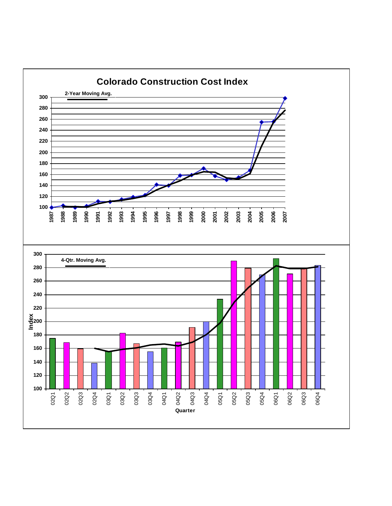